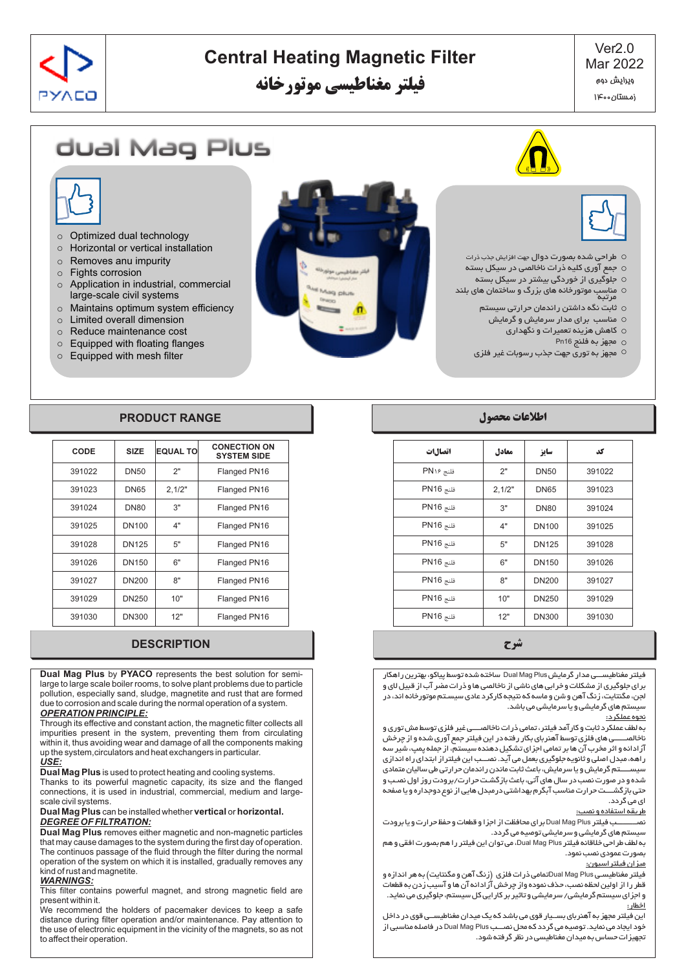

# **Central Heating Magnetic Filter**

**فیلتر مغناطیسی موتورخانه**

Ver2.0 Mar 2022 ویرایش دوم زمستان ۱۴۰۰

# dual Mag Plus





- o طراحی شده بصورت دوال جهت افزایش جذب ذرات
- o جمع آوري کلیه ذرات ناخالصی در سیکل بسته
- o جلوگیري از خوردگی بیشتر در سیکل بسته
- o مناسب موتورخانه هاي بزرگ و ساختمان هاي بلند مرتبه
	- o ثابت نگه داشتن راندمان حرارتی سیستم
	- مناسب براي مدار سرمایش و گرمایش o
		- کاهش هزینه تعمیرات و نگهداري o
			- مجهز به فلنج 16Pn o
	- مجهز به توري جهت جذب رسوبات غیر فلزي o
- o Optimized dual technology
- o Horizontal or vertical installation
- o Removes anu impurity
- o Fights corrosion
- o Application in industrial, commercial large-scale civil systems
- o Maintains optimum system efficiency
- o Limited overall dimension
- o Reduce maintenance cost
- o Equipped with floating flanges
- o Equipped with mesh filter

# **اطلاعات محصول RANGE PRODUCT**

| CODE   | <b>SIZE</b>  | <b>EQUAL TO</b> | <b>CONECTION ON</b><br><b>SYSTEM SIDE</b> |
|--------|--------------|-----------------|-------------------------------------------|
| 391022 | <b>DN50</b>  | 2"              | Flanged PN16                              |
| 391023 | <b>DN65</b>  | 2,1/2"          | Flanged PN16                              |
| 391024 | <b>DN80</b>  | 3"              | Flanged PN16                              |
| 391025 | DN100        | 4"              | Flanged PN16                              |
| 391028 | <b>DN125</b> | 5"              | Flanged PN16                              |
| 391026 | DN150        | 6"              | Flanged PN16                              |
| 391027 | <b>DN200</b> | 8"              | Flanged PN16                              |
| 391029 | DN250        | 10"             | Flanged PN16                              |
| 391030 | <b>DN300</b> | 12"             | Flanged PN16                              |

## **شرح DESCRIPTION**

**Dual Mag Plus** by **PYACO** represents the best solution for semilarge to large scale boiler rooms, to solve plant problems due to particle pollution, especially sand, sludge, magnetite and rust that are formed due to corrosion and scale during the normal operation of a system. *OPERATION PRINCIPLE:*

Through its effective and constant action, the magnetic filter collects all impurities present in the system, preventing them from circulating within it, thus avoiding wear and damage of all the components making up the system,circulators and heat exchangers in particular. *USE:*

**Dual MagPlus** is used to protect heating and cooling systems.

Thanks to its powerful magnetic capacity, its size and the flanged connections, it is used in industrial, commercial, medium and largescale civil systems.

### **Dual Mag Plus** can be installed whether **vertical** or **horizontal**. *DEGREE OF FILTRATION:*

**Dual Mag Plus** removes either magnetic and non-magnetic particles that may cause damages to the system during the first day of operation. The continuos passage of the fluid through the filter during the normal operation of the system on which it is installed, gradually removes any kind of rust and magnetite.

### *WARNINGS:*

This filter contains powerful magnet, and strong magnetic field are present within it.

We recommend the holders of pacemaker devices to keep a safe distance during filter operation and/or maintenance. Pay attention to the use of electronic equipment in the vicinity of the magnets, so as not to affect their operation.

| اتصال1ت   | معادل  | سايز         | کد     |
|-----------|--------|--------------|--------|
| فلنج PN۱۶ | 2"     | <b>DN50</b>  | 391022 |
| فلنج PN16 | 2,1/2" | <b>DN65</b>  | 391023 |
| فلنج PN16 | 3"     | <b>DN80</b>  | 391024 |
| فلنج PN16 | 4"     | <b>DN100</b> | 391025 |
| فلنج PN16 | 5"     | <b>DN125</b> | 391028 |
| فلنج PN16 | 6"     | <b>DN150</b> | 391026 |
| فلنج PN16 | 8"     | <b>DN200</b> | 391027 |
| فلنج PN16 | 10"    | DN250        | 391029 |
| فلنج PN16 | 12"    | <b>DN300</b> | 391030 |

فیلتر مغناطیســـی مدار گرمایشPlus Mag Dual ساخته شده توسط پیاکو، بهترین راهکار براي جلوگیري از مشکلات و خرابی هاي ناشی از ناخالصی ها و ذرات مضر آب از قبیل لاي و لجن، مگنتایت، زنگ آهن و شن و ماسه که نتیجه کارکرد عادي سیسـتم موتورخانه اند، در سیستم هاي گرمایشی و یا سرمایشی می باشد.

### نحوه عملکرد:

به لطف عملکرد ثابت و کارآمد فیلتر، تمامی ذرات ناخالصــــی غیر فلزي توسط مش توري و .<br>ناخالصـــــــی های فلزي توسط آهنرباي بکار رفته در این فیلتر جمع آوري شده و از چرخش آزادانه و اثر مخرب آن ها بر تمامی اجزاي تشکیل دهنده سیستم، از جمله پمپ، شیر سه راهه، مبدل اصلی و ثانویه جلوگیري بعمل می آید. نصـــب این فیلتراز ابتداي راه اندازي سیســـــتم گرمایش و یا سرمایش، باعث ثابت ماندن راندمان حرارتی طی سالیان متمادي شده و در صورت نصب در سال هاي آتی، باعث بازگشـت حرارت/برودت روز اول نصـب و حتی بازگشــــت حرارت مناسب آبگرم بهداشتی درمبدل هایی از نوع دوجداره و یا صفحه اي می گردد.

### طریقه استفاده و نصب:

نصــــــــــب فیلتر Plus Mag Dual براي محافظت از اجزا و قطعات و حفظ حرارت و یا برودت سیستم هاي گرمایشی و سرمایشی توصیه می گردد.

به لطف طراحی خلاقانه فیلتر Plus Mag Dual، می توان این فیلتر را هم بصورت افقی و هم بصورت عمودي نصب نمود.

### میزان فیلتراسیون:

فیلتر مغناطیسـی Plus Mag Dualتمامی ذرات فلزي (زنگ آهن و مگنتایت) به هر اندازه و قطر را از اولین لحظه نصب، حذف نموده واز چرخش آزادانه آن ها و آسیب زدن به قطعات و اجزاي سیستم گرمایشی/ سرمایشی و تاثیر بر کارایی کل سیستم، جلوگیري می نماید. اخطار:

این فیلتر مجهز به آهنرباي بســیار قوي می باشد که یک میدان مغناطیســی قوي در داخل خود ایجاد می نماید. توصیه می گردد که محل نصـــب Plus Mag Dual در فاصله مناسبی از تجهیزات حساس به میدان مغناطیسی در نظر گرفته شود.

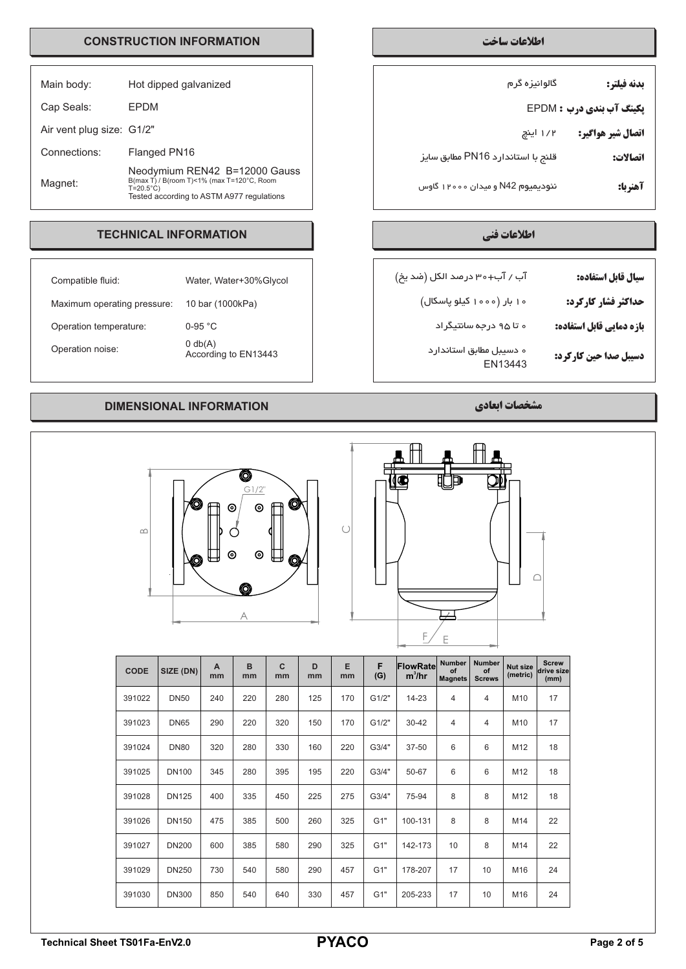# **اطلاعات ساخت INFORMATION CONSTRUCTION**

| Main body:                | Hot dipped galvanized                                                                                                                         |
|---------------------------|-----------------------------------------------------------------------------------------------------------------------------------------------|
| Cap Seals:                | FPDM                                                                                                                                          |
| Air vent plug size: G1/2" |                                                                                                                                               |
| Connections:              | Flanged PN16                                                                                                                                  |
| Magnet:                   | Neodymium REN42 B=12000 Gauss<br>B(max T) / B(room T)<1% (max T=120°C, Room<br>$T=20.5^{\circ}C$<br>Tested according to ASTM A977 regulations |

# **اطلاعات فنی INFORMATION TECHNICAL**

| Compatible fluid:           | Water, Water+30%Glycol                    |
|-----------------------------|-------------------------------------------|
| Maximum operating pressure: | 10 bar (1000kPa)                          |
| Operation temperature:      | $0-95$ °C                                 |
| Operation noise:            | $0 \text{ db}(A)$<br>According to EN13443 |

# **مشخصات ابعادي INFORMATION DIMENSIONAL**





| $\infty$    | 0            | ID<br>⊚ | Ó<br>$\circledcirc$<br>Q<br>A | $\boxplus$<br>Q   |         |         |          | F                    | Ε                                     |                                      |                             | ∩                                  |
|-------------|--------------|---------|-------------------------------|-------------------|---------|---------|----------|----------------------|---------------------------------------|--------------------------------------|-----------------------------|------------------------------------|
| <b>CODE</b> | SIZE (DN)    | A<br>mm | $\mathbf B$<br>mm             | $\mathbf C$<br>mm | D<br>mm | E<br>mm | F<br>(G) | FlowRate<br>$m^3/hr$ | <b>Number</b><br>of<br><b>Magnets</b> | <b>Number</b><br>of<br><b>Screws</b> | <b>Nut size</b><br>(metric) | <b>Screw</b><br>drive size<br>(mm) |
| 391022      | <b>DN50</b>  | 240     | 220                           | 280               | 125     | 170     | G1/2"    | 14-23                | $\overline{4}$                        | $\overline{4}$                       | M10                         | 17                                 |
| 391023      | <b>DN65</b>  | 290     | 220                           | 320               | 150     | 170     | G1/2"    | $30 - 42$            | 4                                     | $\overline{4}$                       | M10                         | 17                                 |
| 391024      | <b>DN80</b>  | 320     | 280                           | 330               | 160     | 220     | G3/4"    | 37-50                | 6                                     | $6\phantom{1}6$                      | M12                         | 18                                 |
| 391025      | <b>DN100</b> | 345     | 280                           | 395               | 195     | 220     | G3/4"    | 50-67                | 6                                     | 6                                    | M12                         | 18                                 |
| 391028      | <b>DN125</b> | 400     | 335                           | 450               | 225     | 275     | G3/4"    | 75-94                | 8                                     | 8                                    | M12                         | 18                                 |
| 391026      | <b>DN150</b> | 475     | 385                           | 500               | 260     | 325     | G1"      | 100-131              | 8                                     | 8                                    | M14                         | 22                                 |
| 391027      | <b>DN200</b> | 600     | 385                           | 580               | 290     | 325     | G1"      | 142-173              | 10                                    | 8                                    | M14                         | 22                                 |
| 391029      | <b>DN250</b> | 730     | 540                           | 580               | 290     | 457     | G1"      | 178-207              | 17                                    | 10                                   | M16                         | 24                                 |
| 391030      | <b>DN300</b> | 850     | 540                           | 640               | 330     | 457     | G1"      | 205-233              | 17                                    | 10                                   | M16                         | 24                                 |

| بدنه فيلتر:                     | گالوانیزه گرم                     |
|---------------------------------|-----------------------------------|
| <b>پکینگ آب بندی درب : EPDM</b> |                                   |
| اتصال شير هواگير:               | ۱/۲ اینچ                          |
| اتصالات:                        | قلنج با استاندارد PN16 مطابق سایز |
| آهنربا:                         | نئودیمیوم N42 و میدان ۱۲۰۰۰ گاوس  |

| سيال قابل استفاده:           | آب / آب+۳۰ در مد الکل (ضد یخ)      |
|------------------------------|------------------------------------|
| حداکثر فشار کارکرد:          | ه ۱ بار (۱۰۰۰ کیلو پاسکال)         |
| بازه دمایی قابل استفاده:     | ه تا ۹۵ درجه سانتیگراد             |
| <b>دسیبل صدا حین کارکرد:</b> | ه دسیبل مطابق استاندارد<br>EN13443 |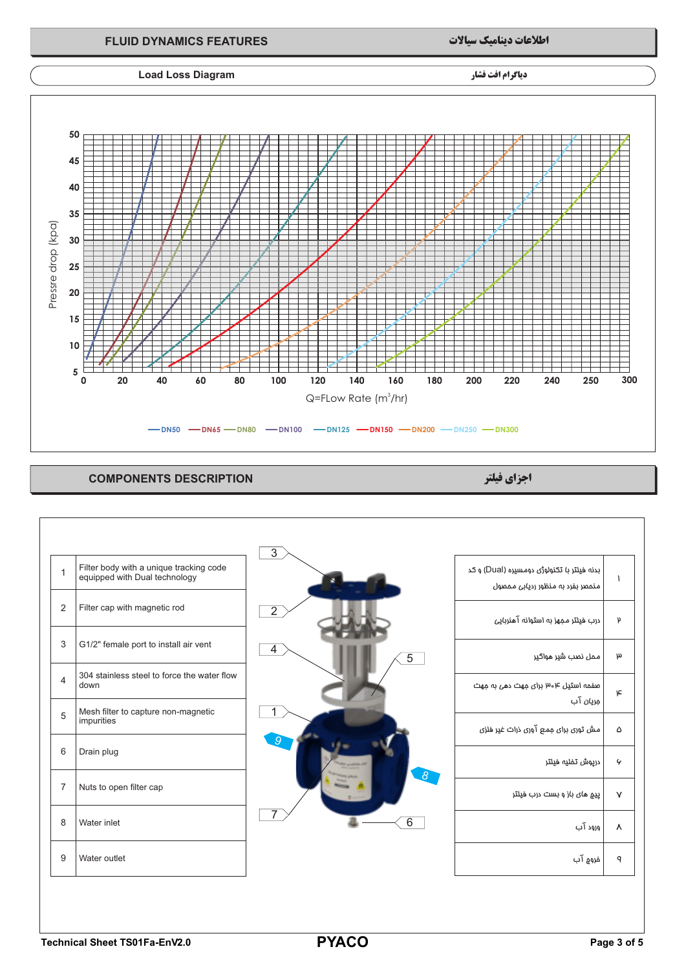

# **اجزاي فیلتر DESCRIPTION COMPONENTS**

| $\mathbf{1}$   | Filter body with a unique tracking code<br>equipped with Dual technology | $\overline{3}$      | بدنه فیلتر با تکنولوژی دومسیره (Dual) و کد<br>منمصر بفرد به منظور ردیابی محصول | ١            |
|----------------|--------------------------------------------------------------------------|---------------------|--------------------------------------------------------------------------------|--------------|
| 2              | Filter cap with magnetic rod                                             | $\overline{2}$      | درب فیلتر مجهز به استوانه آهنربایی                                             | $\mathsf{p}$ |
| 3              | G1/2" female port to install air vent                                    | 4<br>$\overline{5}$ |                                                                                | $\mu$        |
| $\overline{4}$ | 304 stainless steel to force the water flow<br>down                      |                     | صفحه استیل ۴و۳ برای مهت دهی به مهت<br>مِری <i>ان</i> آب                        | ۴            |
| 5              | Mesh filter to capture non-magnetic<br>impurities                        |                     | مش توری برای ممع آوری ذرات غیر فلزی                                            | ۵            |
| 6              | Drain plug                                                               |                     | درپوش تفلیه فیلتر                                                              | $\mathcal G$ |
| $\overline{7}$ | Nuts to open filter cap                                                  | $8^{\circ}$         | <u>ییم</u> مای باز و بست درب فیلتر                                             | $\mathsf{V}$ |
| 8              | Water inlet                                                              | $\overline{6}$      | ورود آب                                                                        | Λ            |
| 9              | Water outlet                                                             |                     | فروج آب                                                                        | ٩            |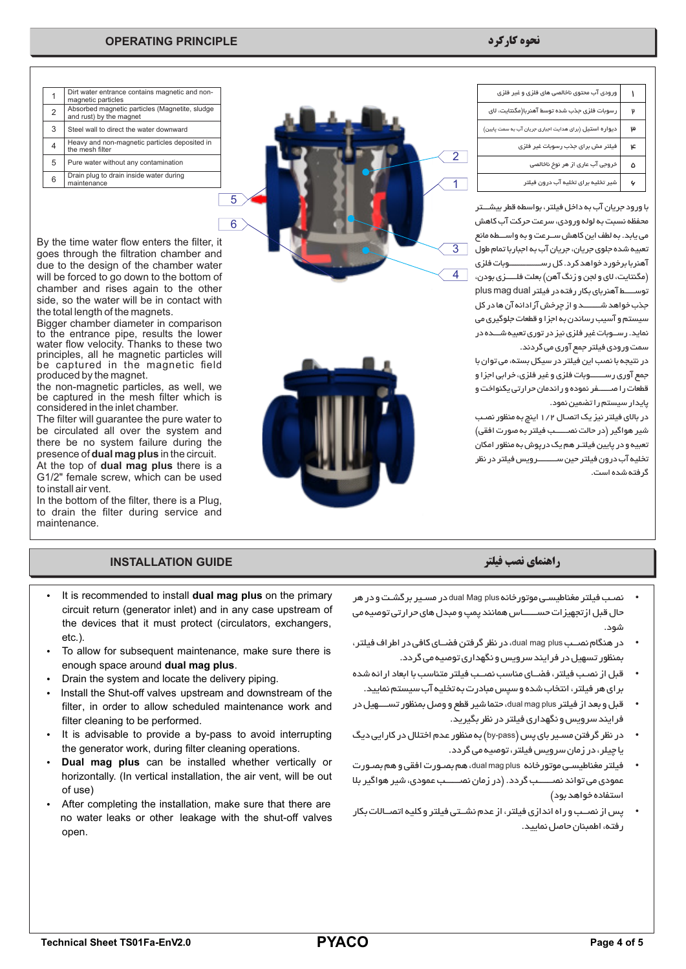## **نحوه کارکرد PRINCIPLE OPERATING**

5

6

| ورودی آب محتوی ناخالصی های فلزی و غیر فلزی             |    |
|--------------------------------------------------------|----|
| رسوبات فلزی جذب شده توسط آهنربا(مگنتایت، لای           |    |
| دیواره استیل (برای هدایت اجباری جریان آب به سمت پایین) | ω  |
| فیلتر مش برای جذب رسوبات غیر فلزی                      | عا |
| خروجی آب عاری از هر نوخ ناخالصی                        | ۵  |
| شیر تخلیہ برای تخلیہ آب درون فیلتر                     |    |

با ورود جریان آب به داخل فیلتر، بواسطه قطر بیشـــتر محفظه نسبت به لوله ورودي، سرعت حرکت آب کاهش می یابد. به لطف این کاهش ســرعت و به واســـطه مانع تعبیه شده جلوي جریان، جریان آب به اجباربا تمام طول آهنربا برخورد خواهد کرد. کل رســـــــــــــــوبات فلزي (مگنتایت، لاي و لجن و زنگ آهن) بعلت فلـــــزي بودن، توســـــط آهنرباي بکار رفته در فیلتر dual mag plus جذب خواهد شــــــــد و از چرخش آزادانه آن ها در کل سیستم و آسیب رساندن به اجزا و قطعات جلوگیري می نماید. رســوبات غیر فلزي نیز در توري تعبیه شـــده در سمت ورودي فیلتر جمع آوري می گردند.

در نتیجه با نصب این فیلتر در سیکل بسته، می توان با جمع آوري رســـــــوبات فلزي و غیر فلزي، خرابی اجزا و قطعات را صــــــفر نموده و راندمان حرارتی یکنواخت و پایدار سیستم را تضمین نمود.

در بالاي فیلتر نیز یک اتصـال 1/2 اینچ به منظور نصـب شیر هواگیر (در حالت نصــــــب فیلتر به صورت افقی) تعبیه و در پایین فیلتـر هم یک درپوش به منظور امکان تخلیه آب درون فیلتر حین ســـــــــرویس فیلتر در نظر گرفته شده است.





|   | Dirt water entrance contains magnetic and non-<br>magnetic particles      |
|---|---------------------------------------------------------------------------|
| 2 | Absorbed magnetic particles (Magnetite, sludge<br>and rust) by the magnet |
| 3 | Steel wall to direct the water downward                                   |
| 4 | Heavy and non-magnetic particles deposited in<br>the mesh filter          |
| 5 | Pure water without any contamination                                      |
| 6 | Drain plug to drain inside water during<br>maintenance                    |
|   |                                                                           |

By the time water flow enters the filter, it goes through the filtration chamber and due to the design of the chamber water will be forced to go down to the bottom of chamber and rises again to the other side, so the water will be in contact with the total length of the magnets.

Bigger chamber diameter in comparison to the entrance pipe, results the lower water flow velocity. Thanks to these two principles, all he magnetic particles will be captured in the magnetic field produced by the magnet.

the non-magnetic particles, as well, we be captured in the mesh filter which is considered in the inlet chamber.

The filter will guarantee the pure water to be circulated all over the system and there be no system failure during the presence of **dual mag plus** in the circuit.

At the top of **dual mag plus** there is a G1/2" female screw, which can be used to install air vent.

In the bottom of the filter, there is a Plug, to drain the filter during service and maintenance.

# **راهنماي نصب فیلتر GUIDE INSTALLATION**

- It is recommended to install **dual mag plus** on the primary circuit return (generator inlet) and in any case upstream of the devices that it must protect (circulators, exchangers, etc.).
- To allow for subsequent maintenance, make sure there is enough space around **dual mag plus**.
- Drain the system and locate the delivery piping.
- Install the Shut-off valves upstream and downstream of the filter, in order to allow scheduled maintenance work and filter cleaning to be performed.
- It is advisable to provide a by-pass to avoid interrupting the generator work, during filter cleaning operations.
- **Dual mag plus** can be installed whether vertically or horizontally. (In vertical installation, the air vent, will be out of use)
- After completing the installation, make sure that there are no water leaks or other leakage with the shut-off valves open.

- Ÿ نصـب فیلتر مغناطیسـی موتورخانه plus Mag dual در مسـیر برگشـت و در هر حال قبل ازتجهیزات حســــــاس همانند پمپ و مبدل هاي حرارتی توصیه می شود.
- Ÿ در هنگام نصــب plus mag dual، در نظر گرفتن فضــاي کافی در اطراف فیلتر، بمنظور تسهیل در فرایند سرویس و نگهداري توصیه می گردد.
- قبل از نصـب فیلتر، فضــاي مناسب نصــب فیلتر متناسب با ابعاد ارائه شده براي هر فیلتر، انتخاب شده و سپس مبادرت به تخلیه آب سیستم نمایید.
- Ÿ قبل و بعد از فیلتر plus mag dual، حتما شیر قطع و وصل بمنظور تســــهیل در فرایند سرویس و نگهداري فیلتر در نظر بگیرید.
- Ÿ در نظر گرفتن مسـیر باي پس (pass-by (به منظور عدم اختلال در کارایی دیگ یا چیلر، در زمان سرویس فیلتر، توصیه می گردد.
- Ÿ فیلتر مغناطیسـی موتورخانه plus mag dual، هم بصـورت افقی و هم بصـورت عمودي می تواند نصــــــب گردد. (در زمان نصــــــب عمودي، شیر هواگیر بلا استفاده خواهد بود)
- Ÿ پس از نصــب و راه اندازي فیلتر، از عدم نشــتی فیلتر و کلیه اتصــالات بکار رفته، اطمبنان حاصل نمایید.